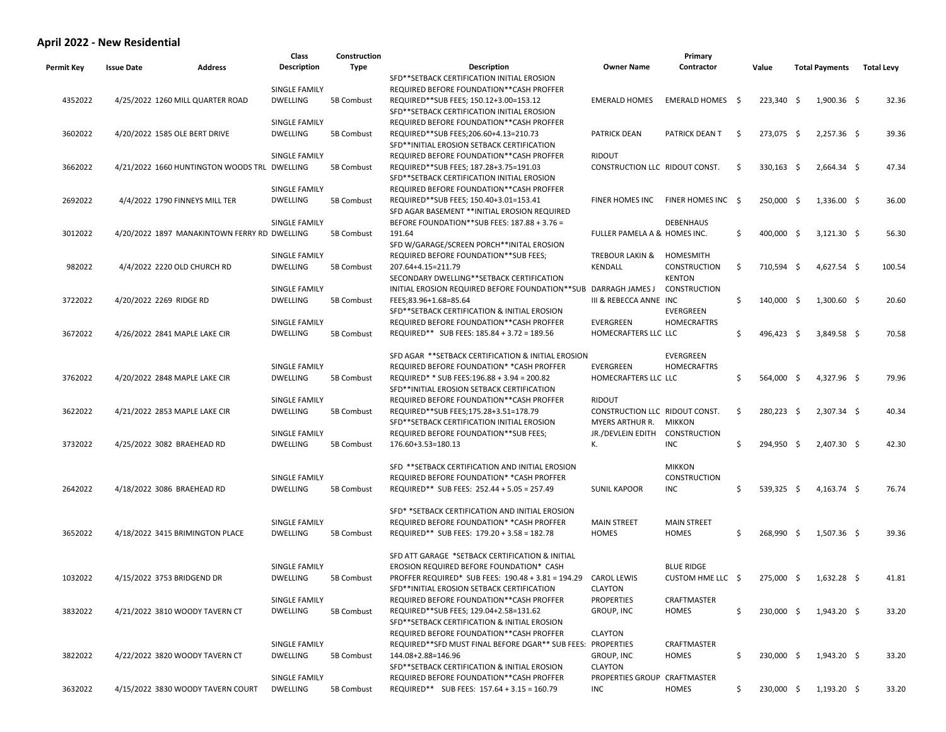## **April 2022 - New Residential**

|            |                                 |                                              | Class                | Construction |                                                                 |                                | Primary            |      |              |                       |                   |        |
|------------|---------------------------------|----------------------------------------------|----------------------|--------------|-----------------------------------------------------------------|--------------------------------|--------------------|------|--------------|-----------------------|-------------------|--------|
| Permit Key | <b>Issue Date</b>               | <b>Address</b>                               | <b>Description</b>   | Type         | <b>Description</b>                                              | <b>Owner Name</b>              | Contractor         |      | Value        | <b>Total Payments</b> | <b>Total Levy</b> |        |
|            |                                 |                                              |                      |              | SFD**SETBACK CERTIFICATION INITIAL EROSION                      |                                |                    |      |              |                       |                   |        |
|            |                                 |                                              | SINGLE FAMILY        |              | REQUIRED BEFORE FOUNDATION**CASH PROFFER                        |                                |                    |      |              |                       |                   |        |
| 4352022    |                                 | 4/25/2022 1260 MILL QUARTER ROAD             | <b>DWELLING</b>      | 5B Combust   | REQUIRED**SUB FEES; 150.12+3.00=153.12                          | <b>EMERALD HOMES</b>           | EMERALD HOMES \$   |      | $223,340$ \$ | $1,900.36$ \$         |                   | 32.36  |
|            |                                 |                                              |                      |              | SFD**SETBACK CERTIFICATION INITIAL EROSION                      |                                |                    |      |              |                       |                   |        |
|            |                                 |                                              | SINGLE FAMILY        |              | REQUIRED BEFORE FOUNDATION**CASH PROFFER                        |                                |                    |      |              |                       |                   |        |
| 3602022    | 4/20/2022 1585 OLE BERT DRIVE   |                                              | <b>DWELLING</b>      | 5B Combust   | REQUIRED**SUB FEES;206.60+4.13=210.73                           | <b>PATRICK DEAN</b>            | PATRICK DEAN T     | - \$ | 273,075 \$   | $2,257.36$ \$         |                   | 39.36  |
|            |                                 |                                              |                      |              | SFD**INITIAL EROSION SETBACK CERTIFICATION                      |                                |                    |      |              |                       |                   |        |
|            |                                 |                                              | SINGLE FAMILY        |              | REQUIRED BEFORE FOUNDATION**CASH PROFFER                        | <b>RIDOUT</b>                  |                    |      |              |                       |                   |        |
| 3662022    |                                 | 4/21/2022 1660 HUNTINGTON WOODS TRL          | <b>DWELLING</b>      | 5B Combust   | REQUIRED**SUB FEES; 187.28+3.75=191.03                          | CONSTRUCTION LLC RIDOUT CONST. |                    | S.   | $330,163$ \$ | $2,664.34$ \$         |                   | 47.34  |
|            |                                 |                                              |                      |              | SFD**SETBACK CERTIFICATION INITIAL EROSION                      |                                |                    |      |              |                       |                   |        |
|            |                                 |                                              | SINGLE FAMILY        |              | REQUIRED BEFORE FOUNDATION**CASH PROFFER                        |                                |                    |      |              |                       |                   |        |
| 2692022    | 4/4/2022 1790 FINNEYS MILL TER  |                                              | <b>DWELLING</b>      | 5B Combust   | REQUIRED**SUB FEES; 150.40+3.01=153.41                          | FINER HOMES INC                | FINER HOMES INC \$ |      | 250,000 \$   | $1,336.00$ \$         |                   | 36.00  |
|            |                                 |                                              |                      |              | SFD AGAR BASEMENT ** INITIAL EROSION REQUIRED                   |                                |                    |      |              |                       |                   |        |
|            |                                 |                                              | <b>SINGLE FAMILY</b> |              | BEFORE FOUNDATION**SUB FEES: 187.88 + 3.76 =                    |                                | <b>DEBENHAUS</b>   |      |              |                       |                   |        |
| 3012022    |                                 | 4/20/2022 1897 MANAKINTOWN FERRY RD DWELLING |                      | 5B Combust   | 191.64                                                          | FULLER PAMELA A & HOMES INC.   |                    | \$   | 400,000 \$   | $3,121.30$ \$         |                   | 56.30  |
|            |                                 |                                              |                      |              | SFD W/GARAGE/SCREEN PORCH**INITAL EROSION                       |                                |                    |      |              |                       |                   |        |
|            |                                 |                                              | SINGLE FAMILY        |              | REQUIRED BEFORE FOUNDATION**SUB FEES;                           | TREBOUR LAKIN &                | HOMESMITH          |      |              |                       |                   |        |
| 982022     | 4/4/2022 2220 OLD CHURCH RD     |                                              | <b>DWELLING</b>      | 5B Combust   | 207.64+4.15=211.79                                              | KENDALL                        | CONSTRUCTION       | \$   | 710,594 \$   | $4,627.54$ \$         |                   | 100.54 |
|            |                                 |                                              |                      |              | SECONDARY DWELLING**SETBACK CERTIFICATION                       |                                | <b>KENTON</b>      |      |              |                       |                   |        |
|            |                                 |                                              | SINGLE FAMILY        |              | INITIAL EROSION REQUIRED BEFORE FOUNDATION**SUB DARRAGH JAMES J |                                | CONSTRUCTION       |      |              |                       |                   |        |
|            | 4/20/2022 2269 RIDGE RD         |                                              |                      |              |                                                                 | III & REBECCA ANNE INC         |                    |      | 140,000 \$   |                       |                   |        |
| 3722022    |                                 |                                              | <b>DWELLING</b>      | 5B Combust   | FEES;83.96+1.68=85.64                                           |                                |                    | \$.  |              | $1,300.60$ \$         |                   | 20.60  |
|            |                                 |                                              |                      |              | SFD**SETBACK CERTIFICATION & INITIAL EROSION                    |                                | EVERGREEN          |      |              |                       |                   |        |
|            |                                 |                                              | SINGLE FAMILY        |              | REQUIRED BEFORE FOUNDATION**CASH PROFFER                        | EVERGREEN                      | <b>HOMECRAFTRS</b> |      |              |                       |                   |        |
| 3672022    | 4/26/2022 2841 MAPLE LAKE CIR   |                                              | <b>DWELLING</b>      | 5B Combust   | REQUIRED** SUB FEES: 185.84 + 3.72 = 189.56                     | HOMECRAFTERS LLC LLC           |                    | Ś.   | 496,423 \$   | $3,849.58$ \$         |                   | 70.58  |
|            |                                 |                                              |                      |              |                                                                 |                                |                    |      |              |                       |                   |        |
|            |                                 |                                              |                      |              | SFD AGAR ** SETBACK CERTIFICATION & INITIAL EROSION             |                                | EVERGREEN          |      |              |                       |                   |        |
|            |                                 |                                              | SINGLE FAMILY        |              | REQUIRED BEFORE FOUNDATION* * CASH PROFFER                      | <b>EVERGREEN</b>               | HOMECRAFTRS        |      |              |                       |                   |        |
| 3762022    | 4/20/2022 2848 MAPLE LAKE CIR   |                                              | <b>DWELLING</b>      | 5B Combust   | REQUIRED* * SUB FEES:196.88 + 3.94 = 200.82                     | HOMECRAFTERS LLC LLC           |                    | \$   | 564,000 \$   | 4,327.96 \$           |                   | 79.96  |
|            |                                 |                                              |                      |              | SFD**INITIAL EROSION SETBACK CERTIFICATION                      |                                |                    |      |              |                       |                   |        |
|            |                                 |                                              | SINGLE FAMILY        |              | REQUIRED BEFORE FOUNDATION**CASH PROFFER                        | <b>RIDOUT</b>                  |                    |      |              |                       |                   |        |
| 3622022    | 4/21/2022 2853 MAPLE LAKE CIR   |                                              | <b>DWELLING</b>      | 5B Combust   | REQUIRED**SUB FEES;175.28+3.51=178.79                           | CONSTRUCTION LLC RIDOUT CONST. |                    | \$   | $280,223$ \$ | $2,307.34$ \$         |                   | 40.34  |
|            |                                 |                                              |                      |              | SFD**SETBACK CERTIFICATION INITIAL EROSION                      | MYERS ARTHUR R.                | <b>MIKKON</b>      |      |              |                       |                   |        |
|            |                                 |                                              | SINGLE FAMILY        |              | REQUIRED BEFORE FOUNDATION**SUB FEES;                           | JR./DEVLEIN EDITH              | CONSTRUCTION       |      |              |                       |                   |        |
| 3732022    | 4/25/2022 3082 BRAEHEAD RD      |                                              | <b>DWELLING</b>      | 5B Combust   | 176.60+3.53=180.13                                              | К.                             | <b>INC</b>         | \$   | 294,950 \$   | $2,407.30$ \$         |                   | 42.30  |
|            |                                 |                                              |                      |              |                                                                 |                                |                    |      |              |                       |                   |        |
|            |                                 |                                              |                      |              | SFD ** SETBACK CERTIFICATION AND INITIAL EROSION                |                                | <b>MIKKON</b>      |      |              |                       |                   |        |
|            |                                 |                                              | SINGLE FAMILY        |              | REQUIRED BEFORE FOUNDATION* * CASH PROFFER                      |                                | CONSTRUCTION       |      |              |                       |                   |        |
| 2642022    | 4/18/2022 3086 BRAEHEAD RD      |                                              | <b>DWELLING</b>      | 5B Combust   | REQUIRED** SUB FEES: 252.44 + 5.05 = 257.49                     | <b>SUNIL KAPOOR</b>            | <b>INC</b>         | \$   | 539,325 \$   | $4,163.74$ \$         |                   | 76.74  |
|            |                                 |                                              |                      |              |                                                                 |                                |                    |      |              |                       |                   |        |
|            |                                 |                                              |                      |              | SFD* *SETBACK CERTIFICATION AND INITIAL EROSION                 |                                |                    |      |              |                       |                   |        |
|            |                                 |                                              | SINGLE FAMILY        |              | <b>REQUIRED BEFORE FOUNDATION* *CASH PROFFER</b>                | <b>MAIN STREET</b>             | <b>MAIN STREET</b> |      |              |                       |                   |        |
| 3652022    | 4/18/2022 3415 BRIMINGTON PLACE |                                              | <b>DWELLING</b>      | 5B Combust   | REQUIRED** SUB FEES: 179.20 + 3.58 = 182.78                     | HOMES                          | HOMES              | \$   | 268,990 \$   | $1,507.36$ \$         |                   | 39.36  |
|            |                                 |                                              |                      |              |                                                                 |                                |                    |      |              |                       |                   |        |
|            |                                 |                                              |                      |              | SFD ATT GARAGE *SETBACK CERTIFICATION & INITIAL                 |                                |                    |      |              |                       |                   |        |
|            |                                 |                                              | SINGLE FAMILY        |              | EROSION REQUIRED BEFORE FOUNDATION* CASH                        |                                | <b>BLUE RIDGE</b>  |      |              |                       |                   |        |
| 1032022    | 4/15/2022 3753 BRIDGEND DR      |                                              | <b>DWELLING</b>      | 5B Combust   | PROFFER REQUIRED* SUB FEES: 190.48 + 3.81 = 194.29 CAROL LEWIS  |                                | CUSTOM HME LLC \$  |      | 275,000 \$   | $1,632.28$ \$         |                   | 41.81  |
|            |                                 |                                              |                      |              | SFD**INITIAL EROSION SETBACK CERTIFICATION                      | <b>CLAYTON</b>                 |                    |      |              |                       |                   |        |
|            |                                 |                                              | SINGLE FAMILY        |              | REQUIRED BEFORE FOUNDATION**CASH PROFFER                        | <b>PROPERTIES</b>              | CRAFTMASTER        |      |              |                       |                   |        |
| 3832022    | 4/21/2022 3810 WOODY TAVERN CT  |                                              | <b>DWELLING</b>      | 5B Combust   | REQUIRED**SUB FEES; 129.04+2.58=131.62                          | GROUP, INC                     | HOMES              | \$   | $230,000$ \$ | $1,943.20$ \$         |                   | 33.20  |
|            |                                 |                                              |                      |              | SFD**SETBACK CERTIFICATION & INITIAL EROSION                    |                                |                    |      |              |                       |                   |        |
|            |                                 |                                              |                      |              | REQUIRED BEFORE FOUNDATION**CASH PROFFER                        | <b>CLAYTON</b>                 |                    |      |              |                       |                   |        |
|            |                                 |                                              | SINGLE FAMILY        |              | REQUIRED**SFD MUST FINAL BEFORE DGAR** SUB FEES: PROPERTIES     |                                | CRAFTMASTER        |      |              |                       |                   |        |
| 3822022    | 4/22/2022 3820 WOODY TAVERN CT  |                                              | <b>DWELLING</b>      | 5B Combust   | 144.08+2.88=146.96                                              | GROUP, INC                     | HOMES              | \$   | 230,000 \$   | $1,943.20$ \$         |                   | 33.20  |
|            |                                 |                                              |                      |              | SFD**SETBACK CERTIFICATION & INITIAL EROSION                    | <b>CLAYTON</b>                 |                    |      |              |                       |                   |        |
|            |                                 |                                              |                      |              | <b>REQUIRED BEFORE FOUNDATION**CASH PROFFER</b>                 |                                |                    |      |              |                       |                   |        |
|            |                                 |                                              | SINGLE FAMILY        |              |                                                                 | PROPERTIES GROUP CRAFTMASTER   |                    |      |              |                       |                   |        |
| 3632022    |                                 | 4/15/2022 3830 WOODY TAVERN COURT            | DWELLING             | 5B Combust   | REQUIRED** SUB FEES: 157.64 + 3.15 = 160.79                     | <b>INC</b>                     | HOMES              | \$.  | $230,000$ \$ | $1,193.20$ \$         |                   | 33.20  |